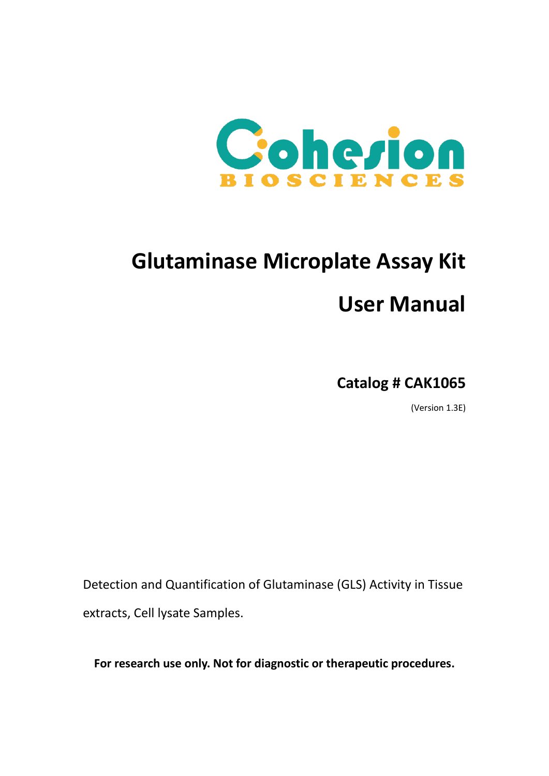

# **Glutaminase Microplate Assay Kit User Manual**

**Catalog # CAK1065**

(Version 1.3E)

Detection and Quantification of Glutaminase (GLS) Activity in Tissue extracts, Cell lysate Samples.

**For research use only. Not for diagnostic or therapeutic procedures.**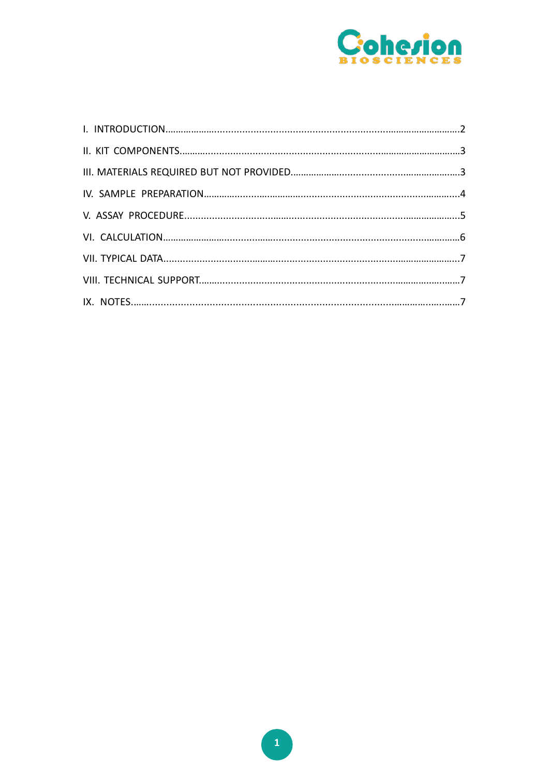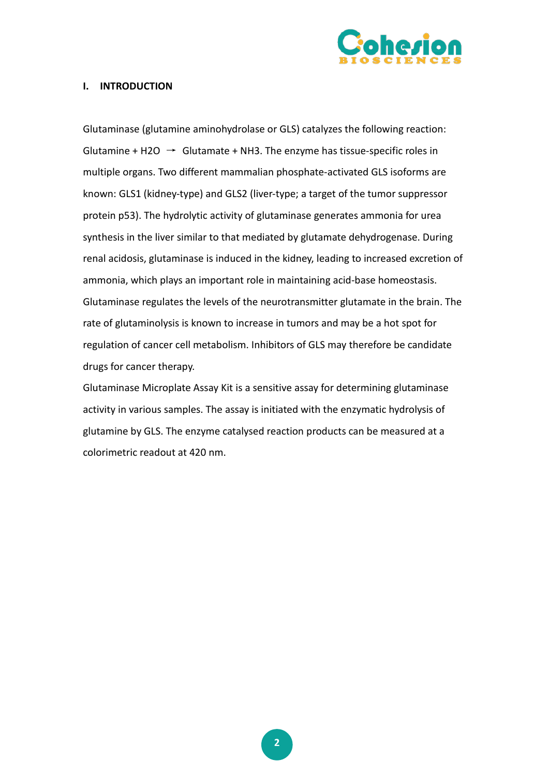

## **I. INTRODUCTION**

Glutaminase (glutamine aminohydrolase or GLS) catalyzes the following reaction: Glutamine + H2O  $\rightarrow$  Glutamate + NH3. The enzyme has tissue-specific roles in multiple organs. Two different mammalian phosphate-activated GLS isoforms are known: GLS1 (kidney-type) and GLS2 (liver-type; a target of the tumor suppressor protein p53). The hydrolytic activity of glutaminase generates ammonia for urea synthesis in the liver similar to that mediated by glutamate dehydrogenase. During renal acidosis, glutaminase is induced in the kidney, leading to increased excretion of ammonia, which plays an important role in maintaining acid-base homeostasis. Glutaminase regulates the levels of the neurotransmitter glutamate in the brain. The rate of glutaminolysis is known to increase in tumors and may be a hot spot for regulation of cancer cell metabolism. Inhibitors of GLS may therefore be candidate drugs for cancer therapy.

Glutaminase Microplate Assay Kit is a sensitive assay for determining glutaminase activity in various samples. The assay is initiated with the enzymatic hydrolysis of glutamine by GLS. The enzyme catalysed reaction products can be measured at a colorimetric readout at 420 nm.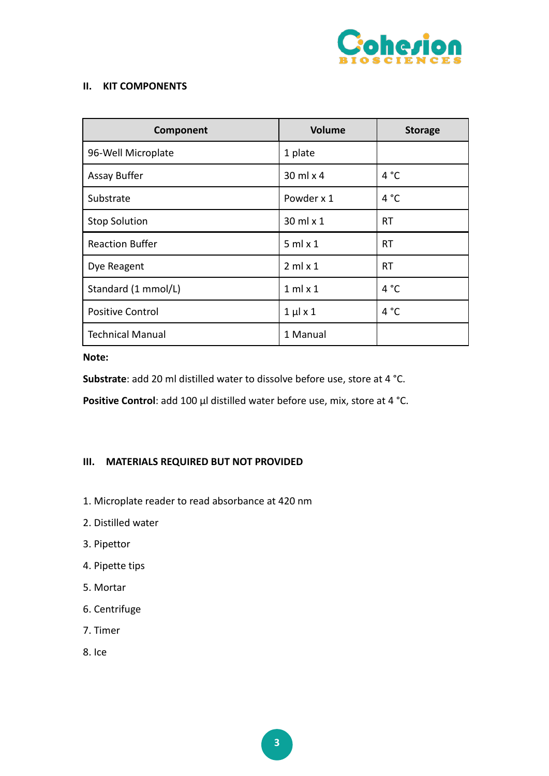

## **II. KIT COMPONENTS**

| Component               | <b>Volume</b>      | <b>Storage</b> |
|-------------------------|--------------------|----------------|
| 96-Well Microplate      | 1 plate            |                |
| Assay Buffer            | $30$ ml $\times$ 4 | 4 °C           |
| Substrate               | Powder x 1         | 4 °C           |
| <b>Stop Solution</b>    | $30$ ml $\times$ 1 | <b>RT</b>      |
| <b>Reaction Buffer</b>  | $5$ ml $\times$ 1  | RT             |
| Dye Reagent             | $2$ ml $\times$ 1  | <b>RT</b>      |
| Standard (1 mmol/L)     | $1$ ml $\times$ 1  | 4 °C           |
| <b>Positive Control</b> | $1 \mu x 1$        | 4 °C           |
| <b>Technical Manual</b> | 1 Manual           |                |

**Note:**

**Substrate**: add 20 ml distilled water to dissolve before use, store at 4 °C.

**Positive Control**: add 100 μl distilled water before use, mix, store at 4 °C.

## **III. MATERIALS REQUIRED BUT NOT PROVIDED**

- 1. Microplate reader to read absorbance at 420 nm
- 2. Distilled water
- 3. Pipettor
- 4. Pipette tips
- 5. Mortar
- 6. Centrifuge
- 7. Timer
- 8. Ice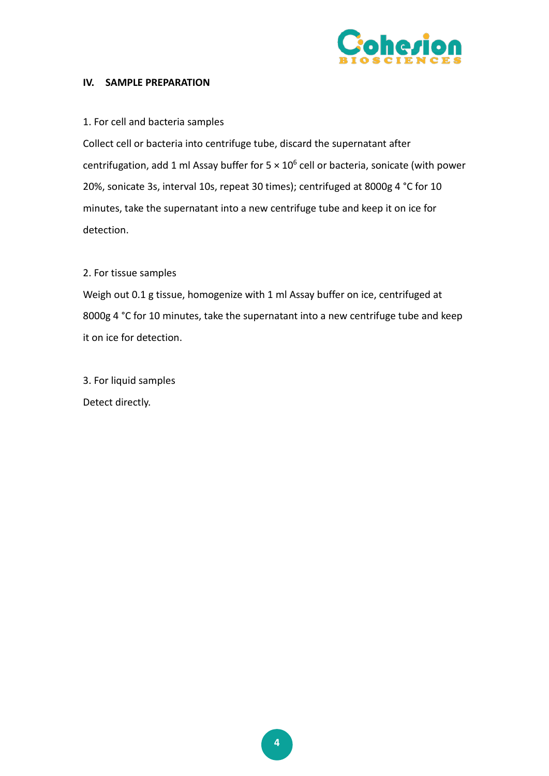

## **IV. SAMPLE PREPARATION**

## 1. For cell and bacteria samples

Collect cell or bacteria into centrifuge tube, discard the supernatant after centrifugation, add 1 ml Assay buffer for  $5 \times 10^6$  cell or bacteria, sonicate (with power 20%, sonicate 3s, interval 10s, repeat 30 times); centrifuged at 8000g 4 °C for 10 minutes, take the supernatant into a new centrifuge tube and keep it on ice for detection.

## 2. For tissue samples

Weigh out 0.1 g tissue, homogenize with 1 ml Assay buffer on ice, centrifuged at 8000g 4 °C for 10 minutes, take the supernatant into a new centrifuge tube and keep it on ice for detection.

3. For liquid samples Detect directly.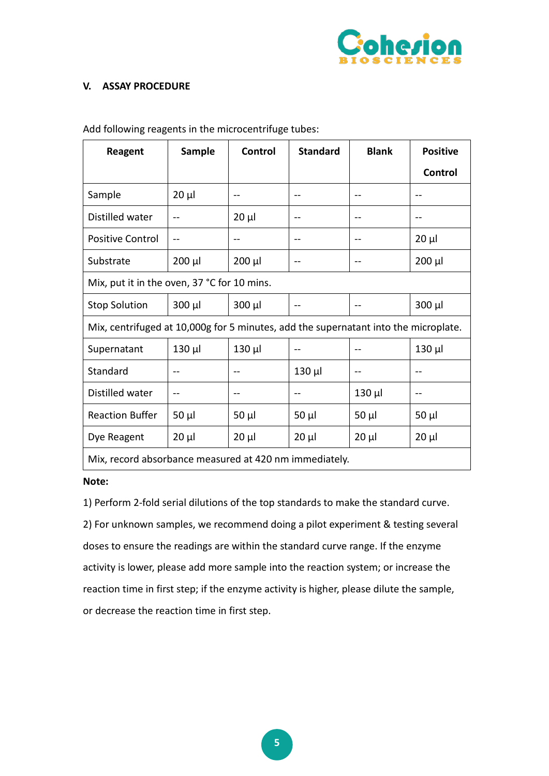

# **V. ASSAY PROCEDURE**

| <b>Reagent</b>                                                                      | <b>Sample</b> | <b>Control</b> | <b>Standard</b> | <b>Blank</b> | <b>Positive</b> |  |
|-------------------------------------------------------------------------------------|---------------|----------------|-----------------|--------------|-----------------|--|
|                                                                                     |               |                |                 |              | Control         |  |
| Sample                                                                              | $20 \mu$      | --             | --              | $- -$        | $-$             |  |
| Distilled water                                                                     |               | $20 \mu$       |                 |              | $-$             |  |
| <b>Positive Control</b>                                                             | $-$           | --             | --              | $- -$        | $20 \mu$        |  |
| Substrate                                                                           | $200 \mu l$   | $200 \mu$      |                 | $-1$         | $200 \mu l$     |  |
| Mix, put it in the oven, 37 °C for 10 mins.                                         |               |                |                 |              |                 |  |
| <b>Stop Solution</b>                                                                | $300 \mu l$   | $300 \mu l$    |                 |              | $300 \mu l$     |  |
| Mix, centrifuged at 10,000g for 5 minutes, add the supernatant into the microplate. |               |                |                 |              |                 |  |
| Supernatant                                                                         | $130$ $\mu$   | $130$ $\mu$    |                 |              | $130$ $\mu$     |  |
| Standard                                                                            |               |                | 130 µl          |              | --              |  |
| Distilled water                                                                     |               |                |                 | $130 \mu$    | --              |  |
| <b>Reaction Buffer</b>                                                              | $50 \mu l$    | $50 \mu$       | $50 \mu$        | $50 \mu$     | $50 \mu$        |  |
| Dye Reagent                                                                         | $20 \mu$      | $20 \mu$       | $20 \mu$        | $20 \mu$     | $20 \mu$        |  |
| Mix, record absorbance measured at 420 nm immediately.                              |               |                |                 |              |                 |  |

Add following reagents in the microcentrifuge tubes:

#### **Note:**

1) Perform 2-fold serial dilutions of the top standards to make the standard curve.

2) For unknown samples, we recommend doing a pilot experiment & testing several doses to ensure the readings are within the standard curve range. If the enzyme activity is lower, please add more sample into the reaction system; or increase the reaction time in first step; if the enzyme activity is higher, please dilute the sample, or decrease the reaction time in first step.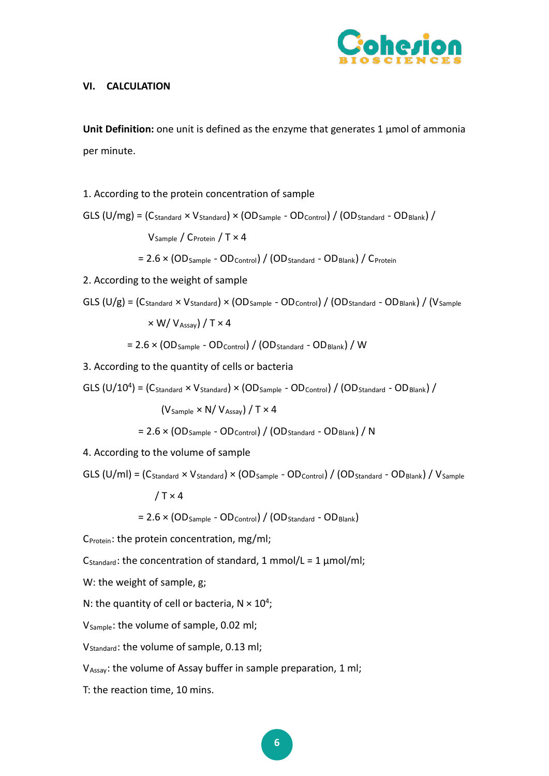

## **VI. CALCULATION**

**Unit Definition:** one unit is defined as the enzyme that generates 1 μmol of ammonia per minute.

1. According to the protein concentration of sample

GLS (U/mg) = (CStandard × VStandard) × (ODSample - ODControl) / (ODStandard - ODBlank) / VSample / CProtein / T × 4

 $= 2.6 \times (OD_{Sample} - OD_{Control}) / (OD_{Standard} - OD_{Black}) / C_{Protein}$ 

2. According to the weight of sample

GLS 
$$
(U/g) = (C_{standard} \times V_{Standard}) \times (OD_{Sample} - OD_{Control}) / (OD_{Standard} - OD_{Bank}) / (V_{Sample}
$$
  
 $\times W / V_{Assay}) / T \times 4$   
= 2.6 ×  $(OD_{Sample} - OD_{Control}) / (OD_{Standard} - OD_{Bank}) / W$ 

3. According to the quantity of cells or bacteria

GLS  $(U/10^4)$  =  $(C_{Standard} \times V_{Standard}) \times (OD_{Sample} - OD_{Control}) / (OD_{Standard} - OD_{Black})$  $(V_{Sample} \times N/V_{Assav}) / T \times 4$  $= 2.6 \times (OD_{Sample} - OD_{Control}) / (OD_{Standard} - OD_{Black}) / N$ 

4. According to the volume of sample

GLS (U/ml) =  $(C_{Standard} \times V_{Standard}) \times (OD_{Sample} - OD_{Control}) / (OD_{Standard} - OD_{Bank}) / V_{Sample}$  $/T \times 4$ 

 $= 2.6 \times (OD_{Sample} - OD_{Control}) / (OD_{Standard} - OD_{Black})$ 

 $C_{\text{Protein}}$ : the protein concentration, mg/ml;

C<sub>Standard</sub>: the concentration of standard, 1 mmol/L = 1  $\mu$ mol/ml;

W: the weight of sample, g;

N: the quantity of cell or bacteria,  $N \times 10^4$ ;

V<sub>Sample</sub>: the volume of sample, 0.02 ml;

V<sub>Standard</sub>: the volume of sample, 0.13 ml;

VAssay: the volume of Assay buffer in sample preparation, 1 ml;

T: the reaction time, 10 mins.